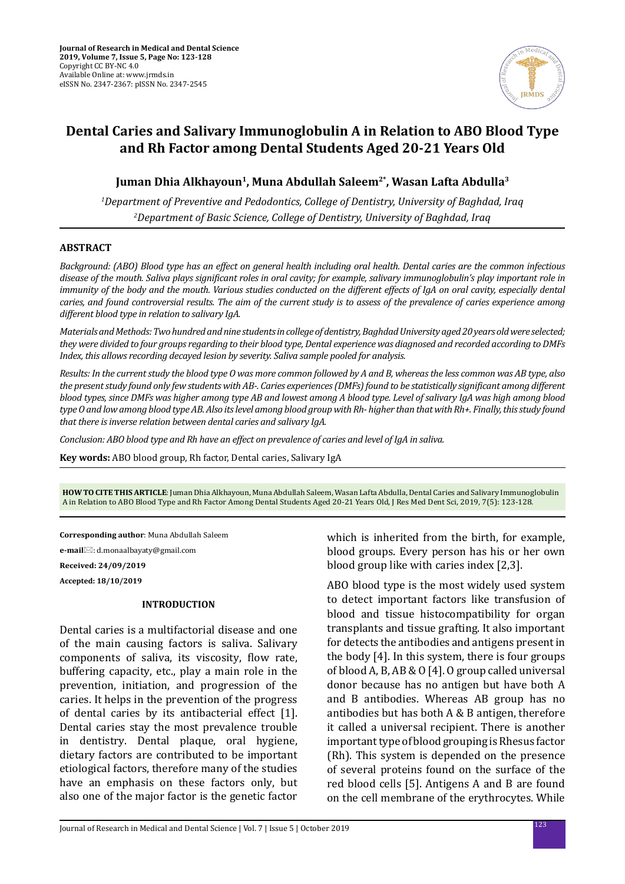

# **Dental Caries and Salivary Immunoglobulin A in Relation to ABO Blood Type and Rh Factor among Dental Students Aged 20-21 Years Old**

## **Juman Dhia Alkhayoun1, Muna Abdullah Saleem2\*, Wasan Lafta Abdulla3**

*1 Department of Preventive and Pedodontics, College of Dentistry, University of Baghdad, Iraq 2 Department of Basic Science, College of Dentistry, University of Baghdad, Iraq*

#### **ABSTRACT**

*Background: (ABO) Blood type has an effect on general health including oral health. Dental caries are the common infectious disease of the mouth. Saliva plays significant roles in oral cavity; for example, salivary immunoglobulin's play important role in immunity of the body and the mouth. Various studies conducted on the different effects of IgA on oral cavity, especially dental caries, and found controversial results. The aim of the current study is to assess of the prevalence of caries experience among different blood type in relation to salivary IgA.* 

*Materials and Methods: Two hundred and nine students in college of dentistry, Baghdad University aged 20 years old were selected; they were divided to four groups regarding to their blood type, Dental experience was diagnosed and recorded according to DMFs Index, this allows recording decayed lesion by severity. Saliva sample pooled for analysis.* 

*Results: In the current study the blood type O was more common followed by A and B, whereas the less common was AB type, also the present study found only few students with AB-. Caries experiences (DMFs) found to be statistically significant among different blood types, since DMFs was higher among type AB and lowest among A blood type. Level of salivary IgA was high among blood type O and low among blood type AB. Also its level among blood group with Rh- higher than that with Rh+. Finally, this study found that there is inverse relation between dental caries and salivary IgA.* 

*Conclusion: ABO blood type and Rh have an effect on prevalence of caries and level of IgA in saliva.*

**Key words:** ABO blood group, Rh factor, Dental caries, Salivary IgA

**HOW TO CITE THIS ARTICLE**: Juman Dhia Alkhayoun, Muna Abdullah Saleem, Wasan Lafta Abdulla, Dental Caries and Salivary Immunoglobulin A in Relation to ABO Blood Type and Rh Factor Among Dental Students Aged 20-21 Years Old, J Res Med Dent Sci, 2019, 7(5): 123-128.

**Corresponding author**: Muna Abdullah Saleem

**e-mail**: d.monaalbayaty@gmail.com

**Received: 24/09/2019**

**Accepted: 18/10/2019**

#### **INTRODUCTION**

Dental caries is a multifactorial disease and one of the main causing factors is saliva. Salivary components of saliva, its viscosity, flow rate, buffering capacity, etc., play a main role in the prevention, initiation, and progression of the caries. It helps in the prevention of the progress of dental caries by its antibacterial effect [1]. Dental caries stay the most prevalence trouble in dentistry. Dental plaque, oral hygiene, dietary factors are contributed to be important etiological factors, therefore many of the studies have an emphasis on these factors only, but also one of the major factor is the genetic factor which is inherited from the birth, for example, blood groups. Every person has his or her own blood group like with caries index [2,3].

ABO blood type is the most widely used system to detect important factors like transfusion of blood and tissue histocompatibility for organ transplants and tissue grafting. It also important for detects the antibodies and antigens present in the body [4]. In this system, there is four groups of blood A, B, AB & O [4]. O group called universal donor because has no antigen but have both A and B antibodies. Whereas AB group has no antibodies but has both A & B antigen, therefore it called a universal recipient. There is another important type of blood grouping is Rhesus factor (Rh). This system is depended on the presence of several proteins found on the surface of the red blood cells [5]. Antigens A and B are found on the cell membrane of the erythrocytes. While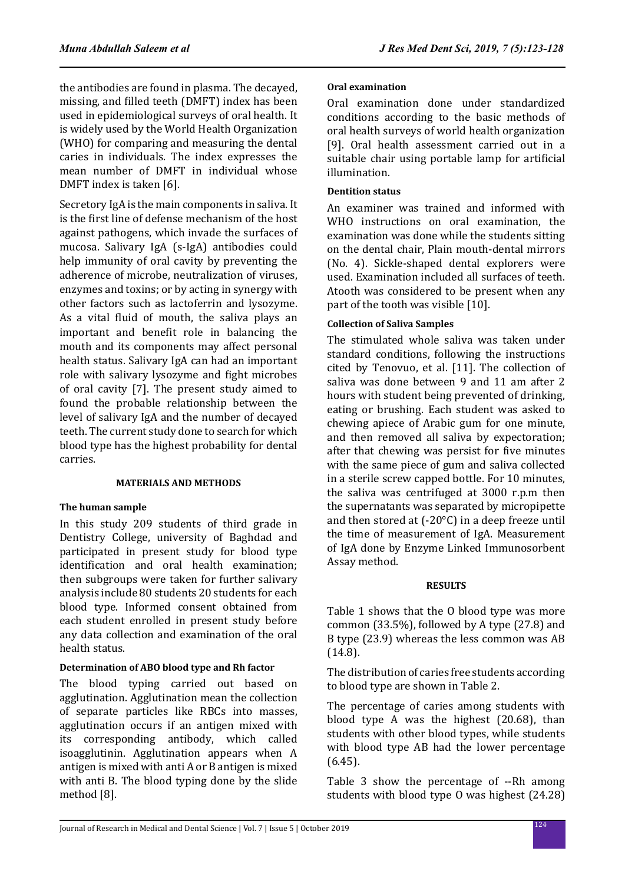the antibodies are found in plasma. The decayed, missing, and filled teeth (DMFT) index has been used in epidemiological surveys of oral health. It is widely used by the World Health Organization (WHO) for comparing and measuring the dental caries in individuals. The index expresses the mean number of DMFT in individual whose DMFT index is taken [6].

Secretory IgA is the main components in saliva. It is the first line of defense mechanism of the host against pathogens, which invade the surfaces of mucosa. Salivary IgA (s-IgA) antibodies could help immunity of oral cavity by preventing the adherence of microbe, neutralization of viruses, enzymes and toxins; or by acting in synergy with other factors such as lactoferrin and lysozyme. As a vital fluid of mouth, the saliva plays an important and benefit role in balancing the mouth and its components may affect personal health status. Salivary IgA can had an important role with salivary lysozyme and fight microbes of oral cavity [7]. The present study aimed to found the probable relationship between the level of salivary IgA and the number of decayed teeth. The current study done to search for which blood type has the highest probability for dental carries.

### **MATERIALS AND METHODS**

### **The human sample**

In this study 209 students of third grade in Dentistry College, university of Baghdad and participated in present study for blood type identification and oral health examination; then subgroups were taken for further salivary analysis include 80 students 20 students for each blood type. Informed consent obtained from each student enrolled in present study before any data collection and examination of the oral health status.

### **Determination of ABO blood type and Rh factor**

The blood typing carried out based on agglutination. Agglutination mean the collection of separate particles like RBCs into masses, agglutination occurs if an antigen mixed with its corresponding antibody, which called isoagglutinin. Agglutination appears when A antigen is mixed with anti A or B antigen is mixed with anti B. The blood typing done by the slide method [8].

## **Oral examination**

Oral examination done under standardized conditions according to the basic methods of oral health surveys of world health organization [9]. Oral health assessment carried out in a suitable chair using portable lamp for artificial illumination.

## **Dentition status**

An examiner was trained and informed with WHO instructions on oral examination, the examination was done while the students sitting on the dental chair, Plain mouth-dental mirrors (No. 4). Sickle-shaped dental explorers were used. Examination included all surfaces of teeth. Atooth was considered to be present when any part of the tooth was visible [10].

## **Collection of Saliva Samples**

The stimulated whole saliva was taken under standard conditions, following the instructions cited by Tenovuo, et al. [11]. The collection of saliva was done between 9 and 11 am after 2 hours with student being prevented of drinking, eating or brushing. Each student was asked to chewing apiece of Arabic gum for one minute, and then removed all saliva by expectoration; after that chewing was persist for five minutes with the same piece of gum and saliva collected in a sterile screw capped bottle. For 10 minutes, the saliva was centrifuged at 3000 r.p.m then the supernatants was separated by micropipette and then stored at (-20°C) in a deep freeze until the time of measurement of IgA. Measurement of IgA done by Enzyme Linked Immunosorbent Assay method.

### **RESULTS**

Table 1 shows that the O blood type was more common (33.5%), followed by A type (27.8) and B type (23.9) whereas the less common was AB (14.8).

The distribution of caries free students according to blood type are shown in Table 2.

The percentage of caries among students with blood type A was the highest (20.68), than students with other blood types, while students with blood type AB had the lower percentage (6.45).

Table 3 show the percentage of --Rh among students with blood type O was highest (24.28)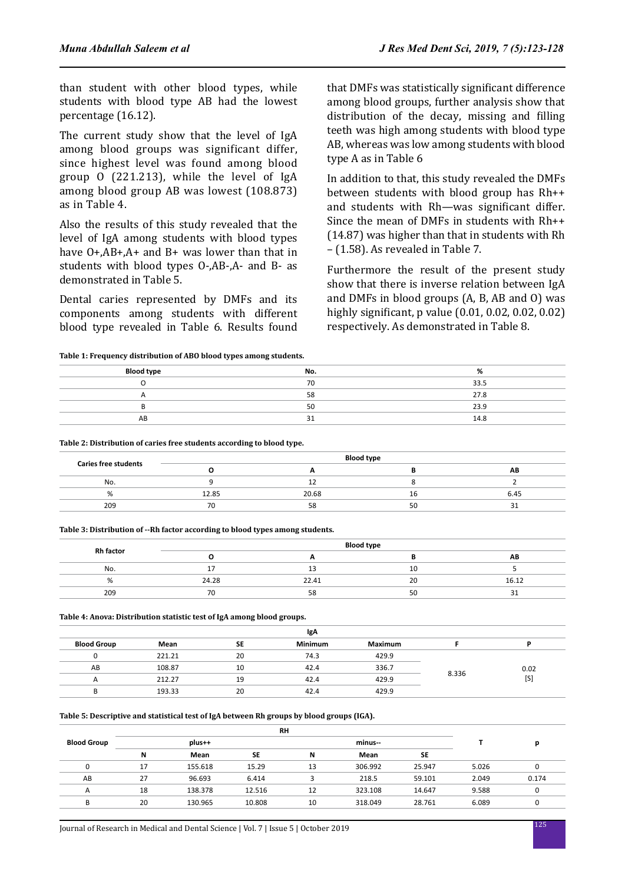than student with other blood types, while students with blood type AB had the lowest percentage (16.12).

The current study show that the level of IgA among blood groups was significant differ, since highest level was found among blood group O (221.213), while the level of IgA among blood group AB was lowest (108.873) as in Table 4.

Also the results of this study revealed that the level of IgA among students with blood types have O+,AB+,A+ and B+ was lower than that in students with blood types O-,AB-,A- and B- as demonstrated in Table 5.

Dental caries represented by DMFs and its components among students with different blood type revealed in Table 6. Results found that DMFs was statistically significant difference among blood groups, further analysis show that distribution of the decay, missing and filling teeth was high among students with blood type AB, whereas was low among students with blood type A as in Table 6

In addition to that, this study revealed the DMFs between students with blood group has Rh++ and students with Rh—was significant differ. Since the mean of DMFs in students with Rh++ (14.87) was higher than that in students with Rh – (1.58). As revealed in Table 7.

Furthermore the result of the present study show that there is inverse relation between IgA and DMFs in blood groups (A, B, AB and O) was highly significant, p value (0.01, 0.02, 0.02, 0.02) respectively. As demonstrated in Table 8.

**Table 1: Frequency distribution of ABO blood types among students.**

| <b>Blood type</b> | No. | ‰    |
|-------------------|-----|------|
|                   | 70  | 33.5 |
| $\sqrt{ }$        | 58  | 27.8 |
|                   | 50  | 23.9 |
| AB                | 31  | 14.8 |

**Table 2: Distribution of caries free students according to blood type.**

|                             |       | <b>Blood type</b> |    |      |
|-----------------------------|-------|-------------------|----|------|
| <b>Caries free students</b> |       |                   |    | ΑB   |
| No.                         |       |                   |    |      |
|                             | 12.85 | 20.68             | τa | 6.45 |
| 209                         | 70    | 58                | 50 |      |
|                             |       |                   |    |      |

**Table 3: Distribution of --Rh factor according to blood types among students.**

|                  |       | <b>Blood type</b> |    |       |
|------------------|-------|-------------------|----|-------|
| <b>Rh factor</b> |       |                   |    | AB    |
| No.              | . .   |                   | 10 |       |
| <b>7</b> u       | 24.28 | 22.41             | 20 | 16.12 |
| 209              | 70    | 58                | 50 | ັ     |

**Table 4: Anova: Distribution statistic test of IgA among blood groups.**

| IgA                |        |           |                |                |       |      |
|--------------------|--------|-----------|----------------|----------------|-------|------|
| <b>Blood Group</b> | Mean   | <b>SE</b> | <b>Minimum</b> | <b>Maximum</b> |       |      |
|                    | 221.21 | 20        | 74.3           | 429.9          |       |      |
| AB                 | 108.87 | 10        | 42.4           | 336.7          |       | 0.02 |
|                    | 212.27 | 19        | 42.4           | 429.9          | 8.336 | [S]  |
|                    | 193.33 | 20        | 42.4           | 429.9          |       |      |

**Table 5: Descriptive and statistical test of IgA between Rh groups by blood groups (IGA).**

| <b>RH</b> |         |        |    |         |        |       |       |
|-----------|---------|--------|----|---------|--------|-------|-------|
|           | plus++  |        |    | minus-- |        |       | n     |
| N         | Mean    | SE     | N  | Mean    | SE     |       |       |
| 17        | 155.618 | 15.29  | 13 | 306.992 | 25.947 | 5.026 | υ     |
| 27        | 96.693  | 6.414  |    | 218.5   | 59.101 | 2.049 | 0.174 |
| 18        | 138.378 | 12.516 | 12 | 323.108 | 14.647 | 9.588 |       |
| 20        | 130.965 | 10.808 | 10 | 318.049 | 28.761 | 6.089 |       |
|           |         |        |    |         |        |       |       |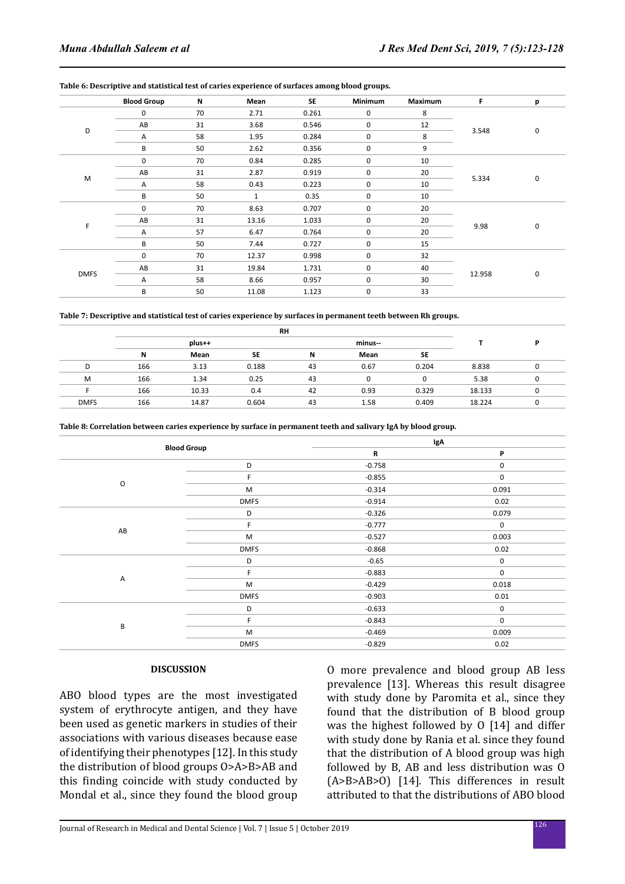|             | <b>Blood Group</b> | N  | Mean                 | <b>SE</b> | Minimum | Maximum | F      | p |
|-------------|--------------------|----|----------------------|-----------|---------|---------|--------|---|
|             | 0                  | 70 | 2.71                 | 0.261     | 0       | 8       | 3.548  | 0 |
|             | AB                 | 31 | 3.68                 | 0.546     | 0       | 12      |        |   |
| D           | Α                  | 58 | 1.95                 | 0.284     | 0       | 8       |        |   |
|             | B                  | 50 | 2.62                 | 0.356     | 0       | 9       |        |   |
|             | 0                  | 70 | 0.84                 | 0.285     | 0       | 10      | 5.334  |   |
| M           | AB                 | 31 | 2.87                 | 0.919     | 0       | 20      |        | 0 |
|             | Α                  | 58 | 0.43                 | 0.223     | 0       | 10      |        |   |
|             | B                  | 50 | 0.35<br>$\mathbf{1}$ | 0         | 10      |         |        |   |
|             | 0                  | 70 | 8.63                 | 0.707     | 0       | 20      | 9.98   | 0 |
|             | AB                 | 31 | 13.16                | 1.033     | 0       | 20      |        |   |
| F           | Α                  | 57 | 6.47                 | 0.764     | 0       | 20      |        |   |
|             | B                  | 50 | 7.44                 | 0.727     | 0       | 15      |        |   |
|             | $\mathbf 0$        | 70 | 12.37                | 0.998     | 0       | 32      | 12.958 |   |
|             | AB                 | 31 | 19.84                | 1.731     | 0       | 40      |        |   |
| <b>DMFS</b> | Α                  | 58 | 8.66                 | 0.957     | 0       | 30      |        | 0 |
|             | B                  | 50 | 11.08                | 1.123     | 0       | 33      |        |   |

| Table 7: Descriptive and statistical test of caries experience by surfaces in permanent teeth between Rh groups. |  |  |
|------------------------------------------------------------------------------------------------------------------|--|--|
|------------------------------------------------------------------------------------------------------------------|--|--|

|             | RH                |       |           |    |      |       |        |   |
|-------------|-------------------|-------|-----------|----|------|-------|--------|---|
|             | minus--<br>plus++ |       |           |    |      |       |        | D |
|             | N                 | Mean  | <b>SE</b> | N  | Mean | SE    |        |   |
| D           | 166               | 3.13  | 0.188     | 43 | 0.67 | 0.204 | 8.838  |   |
| M           | 166               | 1.34  | 0.25      | 43 |      |       | 5.38   |   |
|             | 166               | 10.33 | 0.4       | 42 | 0.93 | 0.329 | 18.133 |   |
| <b>DMFS</b> | 166               | 14.87 | 0.604     | 43 | 1.58 | 0.409 | 18.224 |   |

**Table 8: Correlation between caries experience by surface in permanent teeth and salivary IgA by blood group.**

|         |                    | IgA      |             |  |
|---------|--------------------|----------|-------------|--|
|         | <b>Blood Group</b> |          | P           |  |
|         | D                  | $-0.758$ | 0           |  |
| $\circ$ | F.                 | $-0.855$ | 0           |  |
|         | M                  | $-0.314$ | 0.091       |  |
|         | <b>DMFS</b>        | $-0.914$ | 0.02        |  |
|         | D                  | $-0.326$ | 0.079       |  |
| AB      | F.                 | $-0.777$ | 0           |  |
|         | M                  | $-0.527$ | 0.003       |  |
|         | <b>DMFS</b>        | $-0.868$ | 0.02        |  |
|         | D                  | $-0.65$  | 0           |  |
|         | F.                 | $-0.883$ | 0           |  |
| Α       | M                  | $-0.429$ | 0.018       |  |
|         | <b>DMFS</b>        | $-0.903$ | 0.01        |  |
| B       | D                  | $-0.633$ | $\mathbf 0$ |  |
|         | F.                 | $-0.843$ | 0           |  |
|         | M                  | $-0.469$ | 0.009       |  |
|         | <b>DMFS</b>        | $-0.829$ | 0.02        |  |

#### **DISCUSSION**

ABO blood types are the most investigated system of erythrocyte antigen, and they have been used as genetic markers in studies of their associations with various diseases because ease of identifying their phenotypes [12]. In this study the distribution of blood groups O>A>B>AB and this finding coincide with study conducted by Mondal et al., since they found the blood group O more prevalence and blood group AB less prevalence [13]. Whereas this result disagree with study done by Paromita et al., since they found that the distribution of B blood group was the highest followed by O [14] and differ with study done by Rania et al. since they found that the distribution of A blood group was high followed by B, AB and less distribution was O (A>B>AB>O) [14]. This differences in result attributed to that the distributions of ABO blood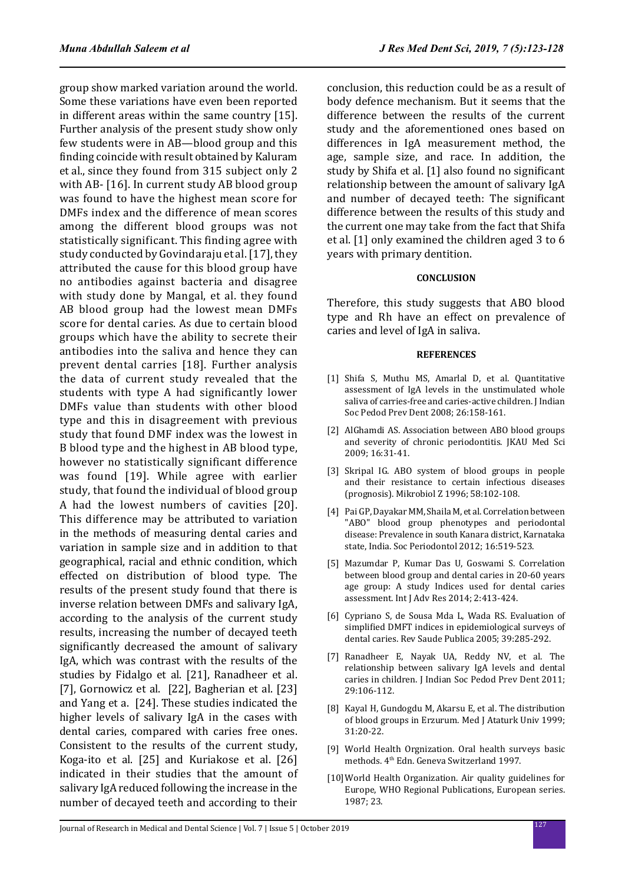group show marked variation around the world. Some these variations have even been reported in different areas within the same country [15]. Further analysis of the present study show only few students were in AB—blood group and this finding coincide with result obtained by Kaluram et al., since they found from 315 subject only 2 with AB- [16]. In current study AB blood group was found to have the highest mean score for DMFs index and the difference of mean scores among the different blood groups was not statistically significant. This finding agree with study conducted by Govindaraju et al. [17], they attributed the cause for this blood group have no antibodies against bacteria and disagree with study done by Mangal, et al. they found AB blood group had the lowest mean DMFs score for dental caries. As due to certain blood groups which have the ability to secrete their antibodies into the saliva and hence they can prevent dental carries [18]. Further analysis the data of current study revealed that the students with type A had significantly lower DMFs value than students with other blood type and this in disagreement with previous study that found DMF index was the lowest in B blood type and the highest in AB blood type, however no statistically significant difference was found [19]. While agree with earlier study, that found the individual of blood group A had the lowest numbers of cavities [20]. This difference may be attributed to variation in the methods of measuring dental caries and variation in sample size and in addition to that geographical, racial and ethnic condition, which effected on distribution of blood type. The results of the present study found that there is inverse relation between DMFs and salivary IgA, according to the analysis of the current study results, increasing the number of decayed teeth significantly decreased the amount of salivary IgA, which was contrast with the results of the studies by Fidalgo et al. [21], Ranadheer et al. [7], Gornowicz et al. [22], Bagherian et al. [23] and Yang et a. [24]. These studies indicated the higher levels of salivary IgA in the cases with dental caries, compared with caries free ones. Consistent to the results of the current study, Koga-ito et al. [25] and Kuriakose et al. [26] indicated in their studies that the amount of salivary IgA reduced following the increase in the number of decayed teeth and according to their conclusion, this reduction could be as a result of body defence mechanism. But it seems that the difference between the results of the current study and the aforementioned ones based on differences in IgA measurement method, the age, sample size, and race. In addition, the study by Shifa et al. [1] also found no significant relationship between the amount of salivary IgA and number of decayed teeth: The significant difference between the results of this study and the current one may take from the fact that Shifa et al. [1] only examined the children aged 3 to 6 years with primary dentition.

#### **CONCLUSION**

Therefore, this study suggests that ABO blood type and Rh have an effect on prevalence of caries and level of IgA in saliva.

#### **REFERENCES**

- [1] Shifa S, Muthu MS, Amarlal D, et al. Quantitative assessment of IgA levels in the unstimulated whole saliva of carries-free and caries-active children. J Indian Soc Pedod Prev Dent 2008; 26:158-161.
- [2] AlGhamdi AS. Association between ABO blood groups and severity of chronic periodontitis. JKAU Med Sci 2009; 16:31-41.
- [3] Skripal IG. ABO system of blood groups in people and their resistance to certain infectious diseases (prognosis). Mikrobiol Z 1996; 58:102-108.
- [4] Pai GP, Dayakar MM, Shaila M, et al. Correlation between "ABO" blood group phenotypes and periodontal disease: Prevalence in south Kanara district, Karnataka state, India. Soc Periodontol 2012; 16:519-523.
- [5] Mazumdar P, Kumar Das U, Goswami S. Correlation between blood group and dental caries in 20-60 years age group: A study Indices used for dental caries assessment. Int J Adv Res 2014; 2:413-424.
- [6] Cypriano S, de Sousa Mda L, Wada RS. Evaluation of simplified DMFT indices in epidemiological surveys of dental caries. Rev Saude Publica 2005; 39:285-292.
- [7] Ranadheer E, Nayak UA, Reddy NV, et al. The relationship between salivary IgA levels and dental caries in children. J Indian Soc Pedod Prev Dent 2011; 29:106-112.
- [8] Kayal H, Gundogdu M, Akarsu E, et al. The distribution of blood groups in Erzurum. Med J Ataturk Univ 1999; 31:20-22.
- [9] World Health Orgnization. Oral health surveys basic methods. 4<sup>th</sup> Edn. Geneva Switzerland 1997.
- [10]World Health Organization. Air quality guidelines for Europe, WHO Regional Publications, European series. 1987; 23.